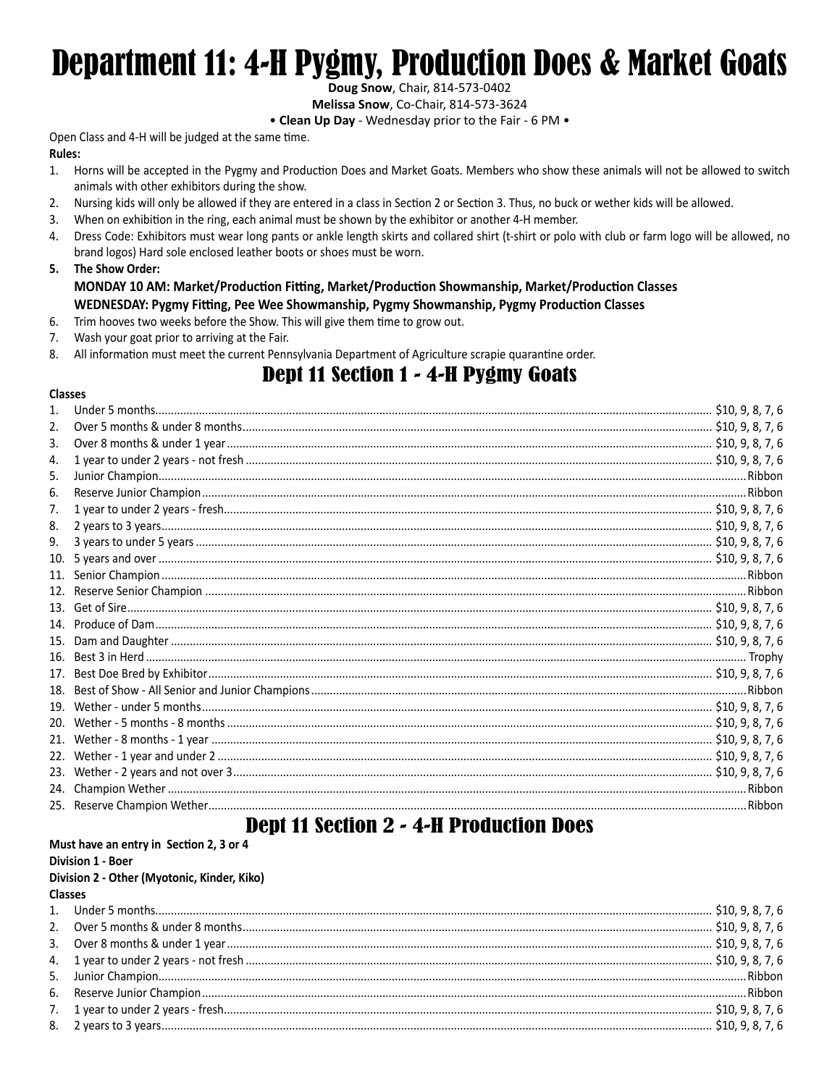# **Department 11: 4-H Pygmy, Production Does & Market Goats**

Doug Snow, Chair, 814-573-0402

Melissa Snow, Co-Chair, 814-573-3624

• Clean Up Day - Wednesday prior to the Fair - 6 PM .

Open Class and 4-H will be judged at the same time. **Rules:** 

- Horns will be accepted in the Pygmy and Production Does and Market Goats. Members who show these animals will not be allowed to switch  $1.$ animals with other exhibitors during the show.
- $2.$ Nursing kids will only be allowed if they are entered in a class in Section 2 or Section 3. Thus, no buck or wether kids will be allowed.
- 3. When on exhibition in the ring, each animal must be shown by the exhibitor or another 4-H member.
- Dress Code: Exhibitors must wear long pants or ankle length skirts and collared shirt (t-shirt or polo with club or farm logo will be allowed, no 4. brand logos) Hard sole enclosed leather boots or shoes must be worn.
- 5. The Show Order: MONDAY 10 AM: Market/Production Fitting, Market/Production Showmanship, Market/Production Classes WEDNESDAY: Pygmy Fitting, Pee Wee Showmanship, Pygmy Showmanship, Pygmy Production Classes
- 6. Trim hooves two weeks before the Show. This will give them time to grow out.
- 7. Wash your goat prior to arriving at the Fair.
- All information must meet the current Pennsylvania Department of Agriculture scrapie quarantine order. 8.

## **Dept 11 Section 1 - 4-H Pygmy Goats**

#### **Classes**

| 2.  |  |
|-----|--|
| 3.  |  |
| 4.  |  |
| 5.  |  |
| 6.  |  |
| 7.  |  |
| 8.  |  |
| 9.  |  |
| 10. |  |
|     |  |
|     |  |
|     |  |
|     |  |
| 15. |  |
| 16. |  |
| 17. |  |
| 18. |  |
| 19. |  |
| 20. |  |
| 21. |  |
| 22. |  |
| 23. |  |
| 24. |  |
|     |  |

## **Dept 11 Section 2 - 4-H Production Does** Must have an entry in Section 2, 3 or 4

|                | <b>Division 1 - Boer</b>                    |  |
|----------------|---------------------------------------------|--|
|                | Division 2 - Other (Myotonic, Kinder, Kiko) |  |
| <b>Classes</b> |                                             |  |
|                |                                             |  |
|                |                                             |  |
|                |                                             |  |
|                |                                             |  |
|                |                                             |  |
|                |                                             |  |
|                |                                             |  |
|                |                                             |  |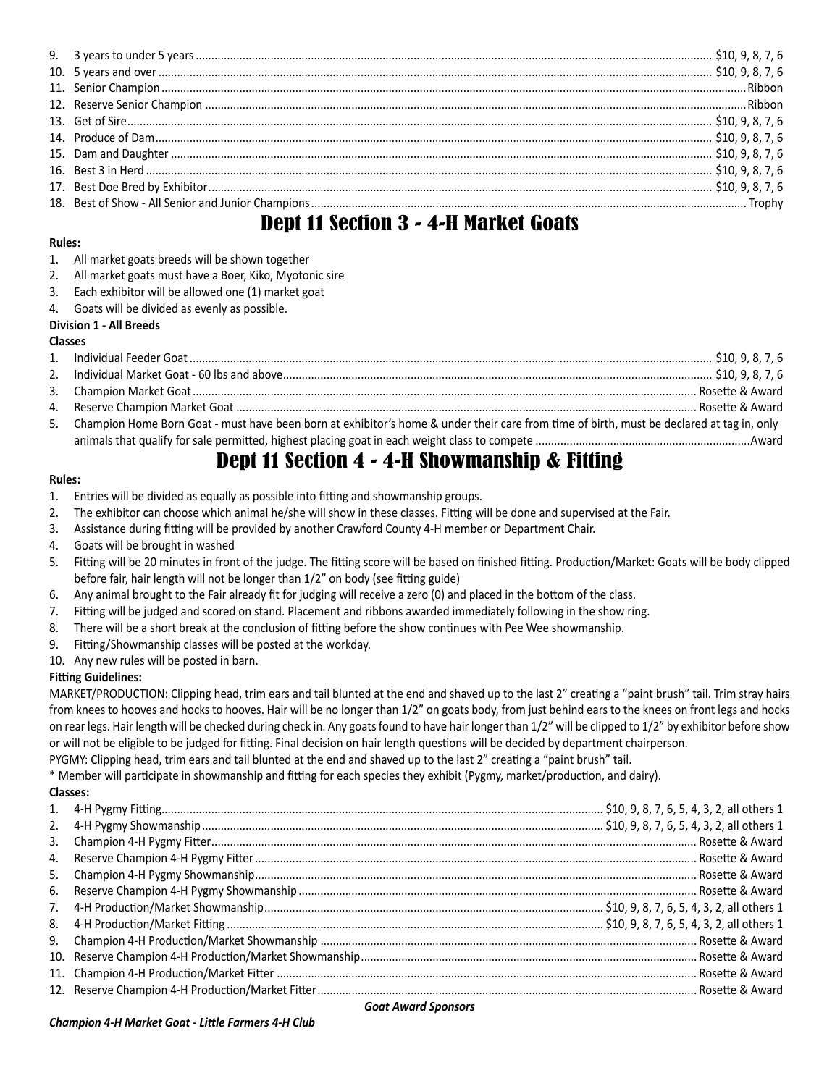| 그 사람들은 그 사람들은 그 사람들은 그 사람들을 지르는 것이다. 그 사람들은 그 사람들은 그 사람들은 그 사람들을 지르는 것이다. 그 사람들은 그 사람들은 그 사람들은 그 사람들을 지르는 것이다. |  |
|----------------------------------------------------------------------------------------------------------------|--|

# Dept 11 Section 3 - 4-H Market Goats

#### **Rules:**

- 1. All market goats breeds will be shown together
- 2. All market goats must have a Boer, Kiko, Myotonic sire
- 3. Each exhibitor will be allowed one (1) market goat
- 4. Goats will be divided as evenly as possible.

### **Division 1 - All Breeds**

#### **Classes**

| 5. Champion Home Born Goat - must have been born at exhibitor's home & under their care from time of birth, must be declared at tag in, only |  |
|----------------------------------------------------------------------------------------------------------------------------------------------|--|
|                                                                                                                                              |  |
|                                                                                                                                              |  |

## Dept 11 Section 4 - 4-H Showmanship & Fitting

#### **Rules:**

- 1. Entries will be divided as equally as possible into fitting and showmanship groups.
- 2. The exhibitor can choose which animal he/she will show in these classes. Fitting will be done and supervised at the Fair.
- 3. Assistance during fitting will be provided by another Crawford County 4-H member or Department Chair.
- 4. Goats will be brought in washed
- 5. Fitting will be 20 minutes in front of the judge. The fitting score will be based on finished fitting. Production/Market: Goats will be body clipped before fair, hair length will not be longer than 1/2" on body (see fitting guide)
- 6. Any animal brought to the Fair already fit for judging will receive a zero (0) and placed in the bottom of the class.
- 7. Fitting will be judged and scored on stand. Placement and ribbons awarded immediately following in the show ring.
- 8. There will be a short break at the conclusion of fitting before the show continues with Pee Wee showmanship.
- 9. Fitting/Showmanship classes will be posted at the workday.
- 10. Any new rules will be posted in barn.

#### **Fitting Guidelines:**

MARKET/PRODUCTION: Clipping head, trim ears and tail blunted at the end and shaved up to the last 2" creating a "paint brush" tail. Trim stray hairs from knees to hooves and hocks to hooves. Hair will be no longer than 1/2" on goats body, from just behind ears to the knees on front legs and hocks on rear legs. Hair length will be checked during check in. Any goats found to have hair longer than  $1/2$ " will be clipped to  $1/2$ " by exhibitor before show or will not be eligible to be judged for fitting. Final decision on hair length questions will be decided by department chairperson.

PYGMY: Clipping head, trim ears and tail blunted at the end and shaved up to the last 2" creating a "paint brush" tail.

\* Member will participate in showmanship and fitting for each species they exhibit (Pygmy, market/production, and dairy).

#### **Classes:**

| 3. |                                                                                                                 |  |
|----|-----------------------------------------------------------------------------------------------------------------|--|
|    |                                                                                                                 |  |
|    |                                                                                                                 |  |
|    |                                                                                                                 |  |
|    |                                                                                                                 |  |
|    |                                                                                                                 |  |
|    |                                                                                                                 |  |
|    |                                                                                                                 |  |
|    |                                                                                                                 |  |
|    |                                                                                                                 |  |
|    | the contract of the contract of the contract of the contract of the contract of the contract of the contract of |  |

#### *Goat Award Sponsors*